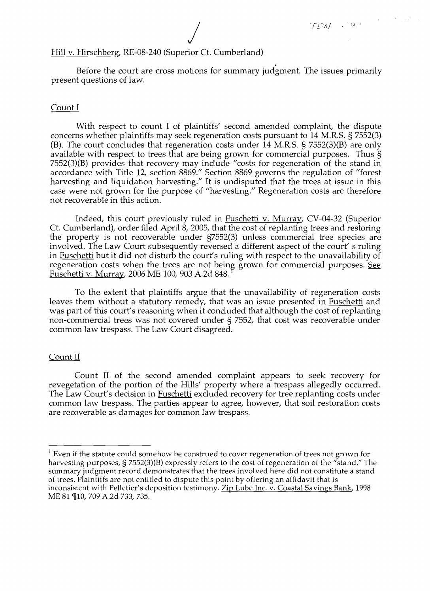# Hill v. Hirschberg, RE-08-240 (Superior Ct. Cumberland)

Before the court are cross motions for summary judgment. The issues primarily present questions of law.

## Count I

With respect to count I of plaintiffs' second amended complaint, the dispute concerns whether plaintiffs may seek regeneration costs pursuant to 14 M.R.S. § 7552(3) (B). The court concludes that regeneration costs under 14 M.R.S. § 7552(3)(B) are only available with respect to trees that are being grown for commercial purposes. Thus § 7552(3)(B) provides that recovery may include "costs for regeneration of the stand in accordance with Title 12, section 8869." Section 8869 governs the regulation of "forest harvesting and liquidation harvesting." It is undisputed that the trees at issue in this case were not grown for the purpose of "harvesting." Regeneration costs are therefore not recoverable in this action.

Indeed, this court previously ruled in Fuschetti v. Murray, CV-04-32 (Superior Ct. Cumberland), order filed April 8, 2005, that the cost of replanting trees and restoring the property is not recoverable under §7552(3) unless commercial tree species are involved. The Law Court subsequently reversed a different aspect of the court's ruling in **Fuschetti** but it did not disturb the court's ruling with respect to the unavailability of regeneration costs when the trees are not being grown for commercial purposes. See Fuschetti v. Murray, 2006 ME 100, 903 A.2d 848.

To the extent that plaintiffs argue that the unavailability of regeneration costs leaves them without a statutory remedy, that was an issue presented in **Fuschetti** and was part of this court's reasoning when it concluded that although the cost of replanting non-commercial trees was not covered under § 7552, that cost was recoverable under common law trespass. The Law Court disagreed.

### Count II

Count II of the second amended complaint appears to seek recovery for revegetation of the portion of the Hills' property where a trespass allegedly occurred. The Law Court's decision in **Fuschetti** excluded recovery for tree replanting costs under common law trespass. The parties appear to agree, however, that soil restoration costs are recoverable as damages for common law trespass.

 $1$  Even if the statute could somehow be construed to cover regeneration of trees not grown for harvesting purposes, § 7552(3)(B) expressly refers to the cost of regeneration of the "stand." The summary judgment record demonstrates that the trees involved here did not constitute a stand of trees. Plaintiffs are not entitled to dispute this point by offering an affidavit that is inconsistent with Pelletier's deposition testimony. Zip Lube Inc. v. Coastal Savings Bank, 1998 ME 81 ¶10, 709 A.2d 733, 735.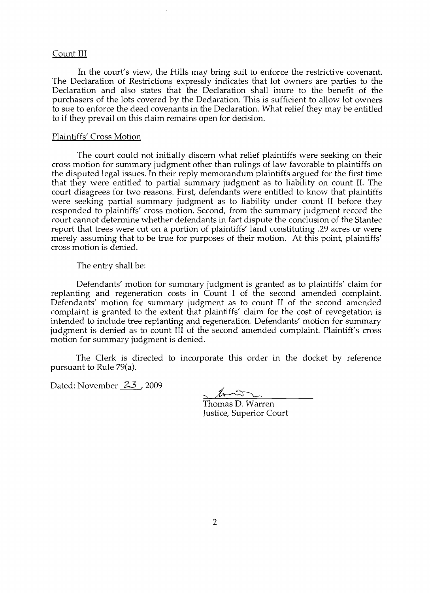## Count III

In the court's view, the Hills may bring suit to enforce the restrictive covenant. The Declaration of Restrictions expressly indicates that lot owners are parties to the Declaration and also states that the Declaration shall inure to the benefit of the purchasers of the lots covered by the Declaration. This is sufficient to allow lot owners to sue to enforce the deed covenants in the Declaration. What relief they may be entitled to if they prevail on this claim remains open for decision.

#### Plaintiffs' Cross Motion

The court could not initially discern what relief plaintiffs were seeking on their cross motion for summary judgment other than rulings of law favorable to plaintiffs on the disputed legal issues. In their reply memorandum plaintiffs argued for the first time that they were entitled to partial summary judgment as to liability on count II. The court disagrees for two reasons. First, defendants were entitled to know that plaintiffs were seeking partial summary judgment as to liability under count II before they responded to plaintiffs' cross motion. Second, from the summary judgment record the court cannot determine whether defendants in fact dispute the conclusion of the Stantec report that trees were cut on a portion of plaintiffs' land constituting .29 acres or were merely assuming that to be true for purposes of their motion. At this point, plaintiffs' cross motion is denied.

The entry shall be:

Defendants' motion for summary judgment is granted as to plaintiffs' claim for replanting and regeneration costs in Count I of the second amended complaint. Defendants' motion for summary judgment as to count II of the second amended complaint is granted to the extent that plaintiffs' claim for the cost of revegetation is intended to include tree replanting and regeneration. Defendants' motion for summary judgment is denied as to count III of the second amended complaint. Plaintiff's cross motion for summary judgment is denied.

The Clerk is directed to incorporate this order in the docket by reference pursuant to Rule 79(a).

Dated: November 23, 2009

Thomas D. Warren

Justice, Superior Court